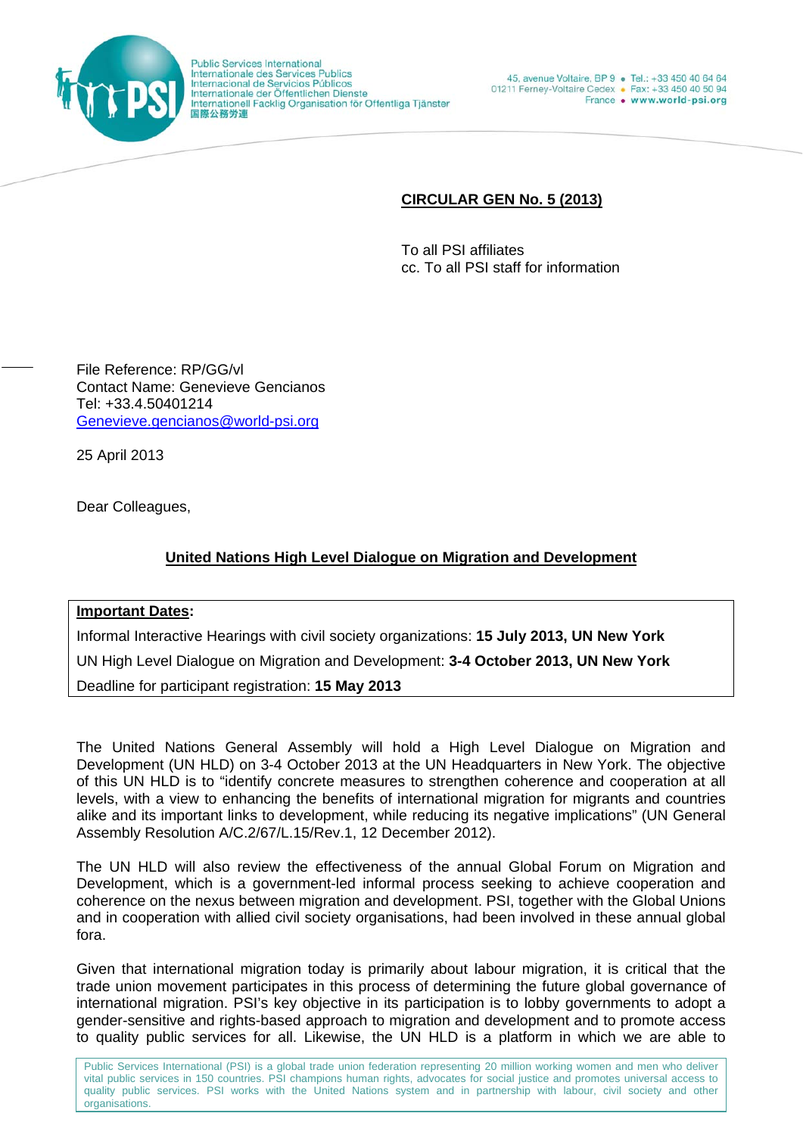

**Public Services International** Internationale des Services Publics Internacional de Servicios Públicos<br>Internacional de Servicios Públicos<br>Internationale der Öffentlichen Dienste<br>Internationell Facklig Organisation för Offentliga Tjänster 国際公務労連

## **CIRCULAR GEN No. 5 (2013)**

To all PSI affiliates cc. To all PSI staff for information

File Reference: RP/GG/vl Contact Name: Genevieve Gencianos Tel: +33.4.50401214 Genevieve.gencianos@world-psi.org

25 April 2013

Dear Colleagues,

## **United Nations High Level Dialogue on Migration and Development**

## **Important Dates:**

Informal Interactive Hearings with civil society organizations: **15 July 2013, UN New York**  UN High Level Dialogue on Migration and Development: **3-4 October 2013, UN New York** Deadline for participant registration: **15 May 2013**

The United Nations General Assembly will hold a High Level Dialogue on Migration and Development (UN HLD) on 3-4 October 2013 at the UN Headquarters in New York. The objective of this UN HLD is to "identify concrete measures to strengthen coherence and cooperation at all levels, with a view to enhancing the benefits of international migration for migrants and countries alike and its important links to development, while reducing its negative implications" (UN General Assembly Resolution A/C.2/67/L.15/Rev.1, 12 December 2012).

The UN HLD will also review the effectiveness of the annual Global Forum on Migration and Development, which is a government-led informal process seeking to achieve cooperation and coherence on the nexus between migration and development. PSI, together with the Global Unions and in cooperation with allied civil society organisations, had been involved in these annual global fora.

Given that international migration today is primarily about labour migration, it is critical that the trade union movement participates in this process of determining the future global governance of international migration. PSI's key objective in its participation is to lobby governments to adopt a gender-sensitive and rights-based approach to migration and development and to promote access to quality public services for all. Likewise, the UN HLD is a platform in which we are able to

Public Services International (PSI) is a global trade union federation representing 20 million working women and men who deliver vital public services in 150 countries. PSI champions human rights, advocates for social justice and promotes universal access to quality public services. PSI works with the United Nations system and in partnership with labour, civil society and other organisations.